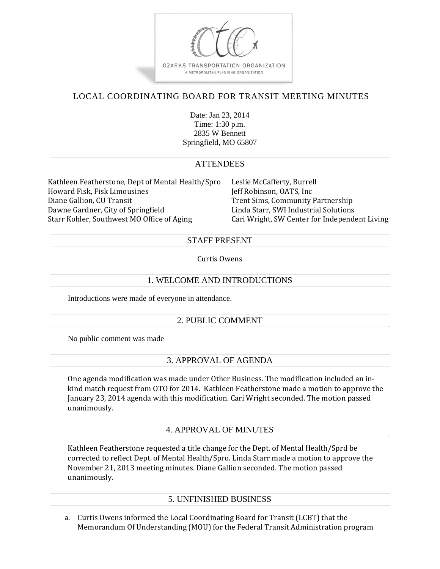

# LOCAL COORDINATING BOARD FOR TRANSIT MEETING MINUTES

Date: Jan 23, 2014 Time: 1:30 p.m. 2835 W Bennett Springfield, MO 65807

### **ATTENDEES**

Kathleen Featherstone, Dept of Mental Health/Spro Leslie McCafferty, Burrell Howard Fisk, Fisk Limousines Jeff Robinson, OATS, Inc Diane Gallion, CU Transit **Trent Sims, Community Partnership** Dawne Gardner, City of Springfield Linda Starr, SWI Industrial Solutions Starr Kohler, Southwest MO Office of Aging Cari Wright, SW Center for Independent Living

### STAFF PRESENT

#### Curtis Owens

### 1. WELCOME AND INTRODUCTIONS

Introductions were made of everyone in attendance.

# 2. PUBLIC COMMENT

No public comment was made

# 3. APPROVAL OF AGENDA

One agenda modification was made under Other Business. The modification included an inkind match request from OTO for 2014. Kathleen Featherstone made a motion to approve the January 23, 2014 agenda with this modification. Cari Wright seconded. The motion passed unanimously. 

#### 4. APPROVAL OF MINUTES

Kathleen Featherstone requested a title change for the Dept. of Mental Health/Sprd be corrected to reflect Dept. of Mental Health/Spro. Linda Starr made a motion to approve the November 21, 2013 meeting minutes. Diane Gallion seconded. The motion passed unanimously. 

# 5. UNFINISHED BUSINESS

a. Curtis Owens informed the Local Coordinating Board for Transit (LCBT) that the Memorandum Of Understanding (MOU) for the Federal Transit Administration program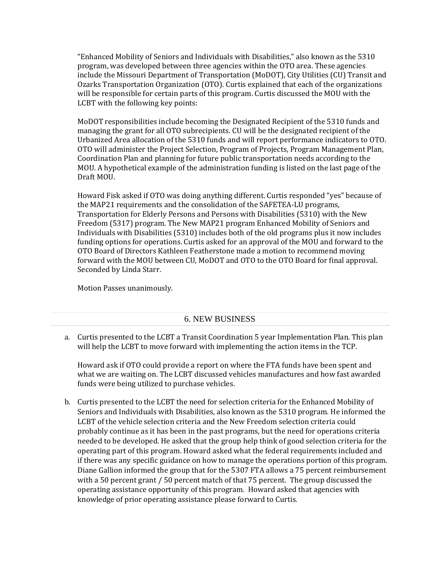"Enhanced Mobility of Seniors and Individuals with Disabilities," also known as the 5310 program, was developed between three agencies within the OTO area. These agencies include the Missouri Department of Transportation (MoDOT), City Utilities (CU) Transit and Ozarks Transportation Organization (OTO). Curtis explained that each of the organizations will be responsible for certain parts of this program. Curtis discussed the MOU with the LCBT with the following key points:

MoDOT responsibilities include becoming the Designated Recipient of the 5310 funds and managing the grant for all OTO subrecipients. CU will be the designated recipient of the Urbanized Area allocation of the 5310 funds and will report performance indicators to OTO. OTO will administer the Project Selection, Program of Projects, Program Management Plan, Coordination Plan and planning for future public transportation needs according to the MOU. A hypothetical example of the administration funding is listed on the last page of the Draft MOU.

Howard Fisk asked if OTO was doing anything different. Curtis responded "yes" because of the MAP21 requirements and the consolidation of the SAFETEA-LU programs, Transportation for Elderly Persons and Persons with Disabilities (5310) with the New Freedom (5317) program. The New MAP21 program Enhanced Mobility of Seniors and Individuals with Disabilities (5310) includes both of the old programs plus it now includes funding options for operations. Curtis asked for an approval of the MOU and forward to the OTO Board of Directors Kathleen Featherstone made a motion to recommend moving forward with the MOU between CU, MoDOT and OTO to the OTO Board for final approval. Seconded by Linda Starr.

Motion Passes unanimously.

# 6. NEW BUSINESS

a. Curtis presented to the LCBT a Transit Coordination 5 year Implementation Plan. This plan will help the LCBT to move forward with implementing the action items in the TCP.

Howard ask if OTO could provide a report on where the FTA funds have been spent and what we are waiting on. The LCBT discussed vehicles manufactures and how fast awarded funds were being utilized to purchase vehicles.

b. Curtis presented to the LCBT the need for selection criteria for the Enhanced Mobility of Seniors and Individuals with Disabilities, also known as the 5310 program. He informed the LCBT of the vehicle selection criteria and the New Freedom selection criteria could probably continue as it has been in the past programs, but the need for operations criteria needed to be developed. He asked that the group help think of good selection criteria for the operating part of this program. Howard asked what the federal requirements included and if there was any specific guidance on how to manage the operations portion of this program. Diane Gallion informed the group that for the 5307 FTA allows a 75 percent reimbursement with a 50 percent grant  $/$  50 percent match of that 75 percent. The group discussed the operating assistance opportunity of this program. Howard asked that agencies with knowledge of prior operating assistance please forward to Curtis.